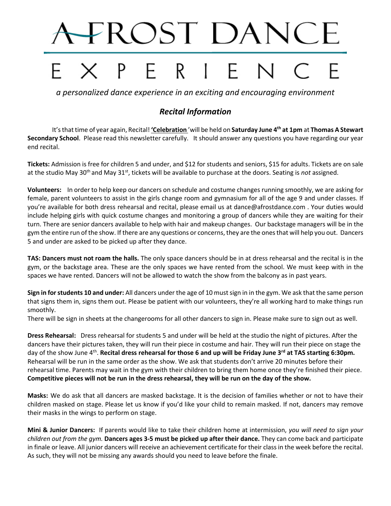# **FROST DANCE**

# PERIE

*a personalized dance experience in an exciting and encouraging environment*

# *Recital Information*

It's that time of year again, Recital! **'Celebration** 'will be held on **Saturday June 4th at 1pm** at **Thomas A Stewart Secondary School**. Please read this newsletter carefully. It should answer any questions you have regarding our year end recital.

**Tickets:** Admission is free for children 5 and under, and \$12 for students and seniors, \$15 for adults. Tickets are on sale at the studio May 30<sup>th</sup> and May 31<sup>st</sup>, tickets will be available to purchase at the doors. Seating is *not* assigned.

**Volunteers:** In order to help keep our dancers on schedule and costume changes running smoothly, we are asking for female, parent volunteers to assist in the girls change room and gymnasium for all of the age 9 and under classes. If you're available for both dress rehearsal and recital, please email us at dance@afrostdance.com . Your duties would include helping girls with quick costume changes and monitoring a group of dancers while they are waiting for their turn. There are senior dancers available to help with hair and makeup changes. Our backstage managers will be in the gym the entire run of the show. If there are any questions or concerns, they are the onesthat will help you out. Dancers 5 and under are asked to be picked up after they dance.

**TAS: Dancers must not roam the halls.** The only space dancers should be in at dress rehearsal and the recital is in the gym, or the backstage area. These are the only spaces we have rented from the school. We must keep with in the spaces we have rented. Dancers will not be allowed to watch the show from the balcony as in past years.

**Sign in for students 10 and under:** All dancers under the age of 10 must sign in in the gym. We ask that the same person that signs them in, signs them out. Please be patient with our volunteers, they're all working hard to make things run smoothly.

There will be sign in sheets at the changerooms for all other dancers to sign in. Please make sure to sign out as well.

**Dress Rehearsal:** Dress rehearsal for students 5 and under will be held at the studio the night of pictures. After the dancers have their pictures taken, they will run their piece in costume and hair. They will run their piece on stage the day of the show June 4<sup>th</sup>. Recital dress rehearsal for those 6 and up will be Friday June 3<sup>rd</sup> at TAS starting 6:30pm. Rehearsal will be run in the same order as the show. We ask that students don't arrive 20 minutes before their rehearsal time. Parents may wait in the gym with their children to bring them home once they're finished their piece. **Competitive pieces will not be run in the dress rehearsal, they will be run on the day of the show.**

**Masks:** We do ask that all dancers are masked backstage. It is the decision of families whether or not to have their children masked on stage. Please let us know if you'd like your child to remain masked. If not, dancers may remove their masks in the wings to perform on stage.

**Mini & Junior Dancers:** If parents would like to take their children home at intermission, *you will need to sign your children out from the gym.* **Dancers ages 3-5 must be picked up after their dance.** They can come back and participate in finale or leave. All junior dancers will receive an achievement certificate for their class in the week before the recital. As such, they will not be missing any awards should you need to leave before the finale.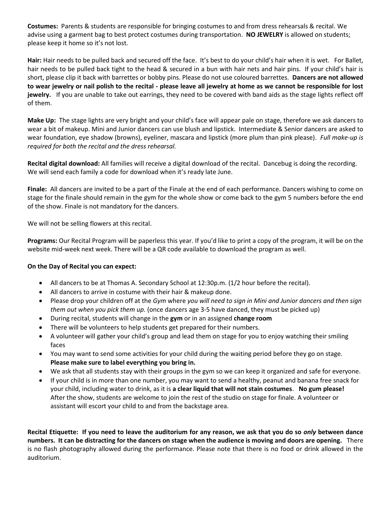**Costumes:** Parents & students are responsible for bringing costumes to and from dress rehearsals & recital. We advise using a garment bag to best protect costumes during transportation. **NO JEWELRY** is allowed on students; please keep it home so it's not lost.

**Hair:** Hair needs to be pulled back and secured off the face. It's best to do your child's hair when it is wet. For Ballet, hair needs to be pulled back tight to the head & secured in a bun with hair nets and hair pins. If your child's hair is short, please clip it back with barrettes or bobby pins. Please do not use coloured barrettes. **Dancers are not allowed to wear jewelry or nail polish to the recital - please leave all jewelry at home as we cannot be responsible for lost**  jewelry. If you are unable to take out earrings, they need to be covered with band aids as the stage lights reflect off of them.

**Make Up:** The stage lights are very bright and your child's face will appear pale on stage, therefore we ask dancers to wear a bit of makeup. Mini and Junior dancers can use blush and lipstick. Intermediate & Senior dancers are asked to wear foundation, eye shadow (browns), eyeliner, mascara and lipstick (more plum than pink please). *Full make-up is required for both the recital and the dress rehearsal.*

**Recital digital download:** All families will receive a digital download of the recital. Dancebug is doing the recording. We will send each family a code for download when it's ready late June.

**Finale:**All dancers are invited to be a part of the Finale at the end of each performance. Dancers wishing to come on stage for the finale should remain in the gym for the whole show or come back to the gym 5 numbers before the end of the show. Finale is not mandatory for the dancers.

We will not be selling flowers at this recital.

**Programs:** Our Recital Program will be paperless this year. If you'd like to print a copy of the program, it will be on the website mid-week next week. There will be a QR code available to download the program as well.

#### **On the Day of Recital you can expect:**

- All dancers to be at Thomas A. Secondary School at 12:30p.m. (1/2 hour before the recital).
- All dancers to arrive in costume with their hair & makeup done.
- Please drop your children off at the *Gym* where *you will need to sign in Mini and Junior dancers and then sign them out when you pick them up.* (once dancers age 3-5 have danced, they must be picked up)
- During recital, students will change in the **gym** or in an assigned **change room**
- There will be volunteers to help students get prepared for their numbers.
- A volunteer will gather your child's group and lead them on stage for you to enjoy watching their smiling faces
- You may want to send some activities for your child during the waiting period before they go on stage. **Please make sure to label everything you bring in.**
- We ask that all students stay with their groups in the gym so we can keep it organized and safe for everyone.
- If your child is in more than one number, you may want to send a healthy, peanut and banana free snack for your child, including water to drink, as it is **a clear liquid that will not stain costumes**. **No gum please!** After the show, students are welcome to join the rest of the studio on stage for finale. A volunteer or assistant will escort your child to and from the backstage area.

**Recital Etiquette: If you need to leave the auditorium for any reason, we ask that you do so** *only* **between dance numbers. It can be distracting for the dancers on stage when the audience is moving and doors are opening.** There is no flash photography allowed during the performance. Please note that there is no food or drink allowed in the auditorium.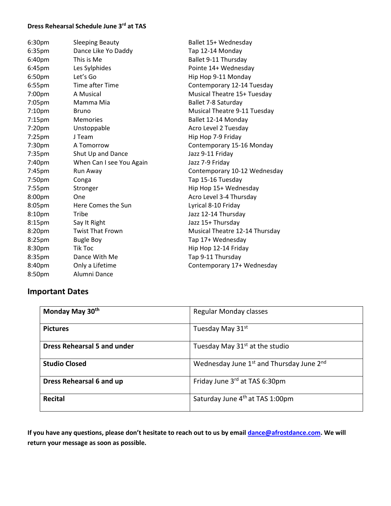## **Dress Rehearsal Schedule June 3rd at TAS**

| 6:30pm             | <b>Sleeping Beauty</b>   | Ballet 15+ Wednesday           |
|--------------------|--------------------------|--------------------------------|
| 6:35pm             | Dance Like Yo Daddy      | Tap 12-14 Monday               |
| 6:40pm             | This is Me               | Ballet 9-11 Thursday           |
| 6:45 <sub>pm</sub> | Les Sylphides            | Pointe 14+ Wednesday           |
| 6:50pm             | Let's Go                 | Hip Hop 9-11 Monday            |
| 6:55 <sub>pm</sub> | Time after Time          | Contemporary 12-14 Tuesday     |
| 7:00pm             | A Musical                | Musical Theatre 15+ Tuesday    |
| 7:05pm             | Mamma Mia                | Ballet 7-8 Saturday            |
| 7:10pm             | <b>Bruno</b>             | Musical Theatre 9-11 Tuesday   |
| $7:15$ pm          | <b>Memories</b>          | Ballet 12-14 Monday            |
| 7:20 <sub>pm</sub> | Unstoppable              | Acro Level 2 Tuesday           |
| $7:25$ pm          | J Team                   | Hip Hop 7-9 Friday             |
| 7:30pm             | A Tomorrow               | Contemporary 15-16 Monday      |
| 7:35pm             | Shut Up and Dance        | Jazz 9-11 Friday               |
| 7:40pm             | When Can I see You Again | Jazz 7-9 Friday                |
| 7:45pm             | Run Away                 | Contemporary 10-12 Wednesday   |
| 7:50pm             | Conga                    | Tap 15-16 Tuesday              |
| 7:55pm             | Stronger                 | Hip Hop 15+ Wednesday          |
| 8:00pm             | One                      | Acro Level 3-4 Thursday        |
| 8:05pm             | Here Comes the Sun       | Lyrical 8-10 Friday            |
| 8:10pm             | Tribe                    | Jazz 12-14 Thursday            |
| 8:15pm             | Say It Right             | Jazz 15+ Thursday              |
| 8:20pm             | <b>Twist That Frown</b>  | Musical Theatre 12-14 Thursday |
| 8:25pm             | <b>Bugle Boy</b>         | Tap 17+ Wednesday              |
| 8:30pm             | <b>Tik Toc</b>           | Hip Hop 12-14 Friday           |
| 8:35pm             | Dance With Me            | Tap 9-11 Thursday              |
| 8:40pm             | Only a Lifetime          | Contemporary 17+ Wednesday     |
| 8:50pm             | Alumni Dance             |                                |

# **Important Dates**

| Monday May 30th                    | <b>Regular Monday classes</b>                                    |
|------------------------------------|------------------------------------------------------------------|
| <b>Pictures</b>                    | Tuesday May 31st                                                 |
| <b>Dress Rehearsal 5 and under</b> | Tuesday May 31 <sup>st</sup> at the studio                       |
| <b>Studio Closed</b>               | Wednesday June 1 <sup>st</sup> and Thursday June 2 <sup>nd</sup> |
| Dress Rehearsal 6 and up           | Friday June 3rd at TAS 6:30pm                                    |
| <b>Recital</b>                     | Saturday June 4 <sup>th</sup> at TAS 1:00pm                      |

**If you have any questions, please don't hesitate to reach out to us by email [dance@afrostdance.com.](mailto:dance@afrostdance.com) We will return your message as soon as possible.**